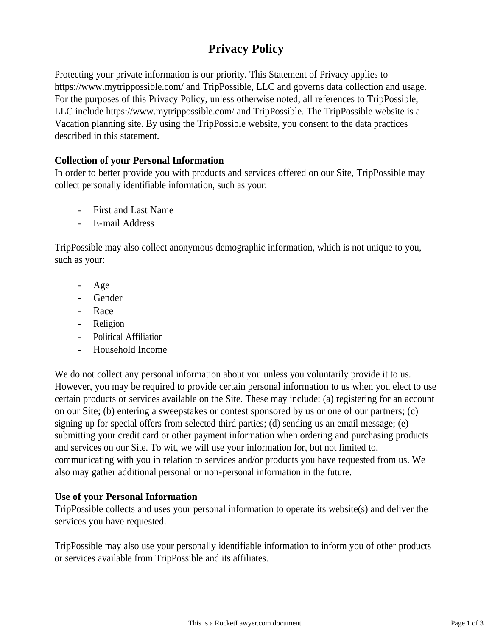# **Privacy Policy**

Protecting your private information is our priority. This Statement of Privacy applies to https://www.mytrippossible.com/ and TripPossible, LLC and governs data collection and usage. For the purposes of this Privacy Policy, unless otherwise noted, all references to TripPossible, LLC include https://www.mytrippossible.com/ and TripPossible. The TripPossible website is a Vacation planning site. By using the TripPossible website, you consent to the data practices described in this statement.

## **Collection of your Personal Information**

In order to better provide you with products and services offered on our Site, TripPossible may collect personally identifiable information, such as your:

- First and Last Name
- E-mail Address

TripPossible may also collect anonymous demographic information, which is not unique to you, such as your:

- Age
- **Gender**
- Race
- Religion
- Political Affiliation
- Household Income

We do not collect any personal information about you unless you voluntarily provide it to us. However, you may be required to provide certain personal information to us when you elect to use certain products or services available on the Site. These may include: (a) registering for an account on our Site; (b) entering a sweepstakes or contest sponsored by us or one of our partners; (c) signing up for special offers from selected third parties; (d) sending us an email message; (e) submitting your credit card or other payment information when ordering and purchasing products and services on our Site. To wit, we will use your information for, but not limited to, communicating with you in relation to services and/or products you have requested from us. We also may gather additional personal or non-personal information in the future.

## **Use of your Personal Information**

TripPossible collects and uses your personal information to operate its website(s) and deliver the services you have requested.

TripPossible may also use your personally identifiable information to inform you of other products or services available from TripPossible and its affiliates.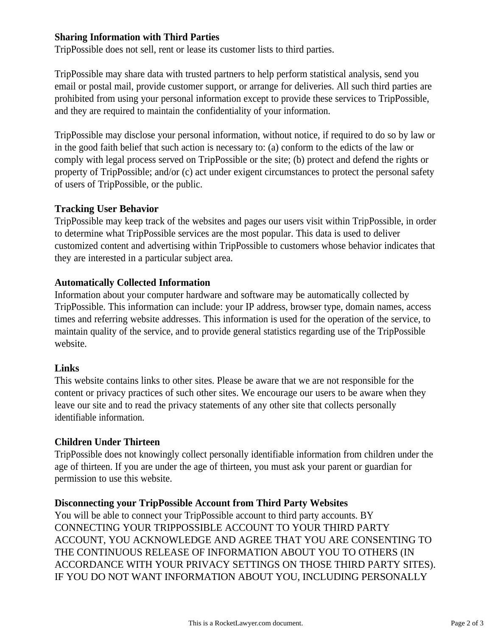## **Sharing Information with Third Parties**

TripPossible does not sell, rent or lease its customer lists to third parties.

TripPossible may share data with trusted partners to help perform statistical analysis, send you email or postal mail, provide customer support, or arrange for deliveries. All such third parties are prohibited from using your personal information except to provide these services to TripPossible, and they are required to maintain the confidentiality of your information.

TripPossible may disclose your personal information, without notice, if required to do so by law or in the good faith belief that such action is necessary to: (a) conform to the edicts of the law or comply with legal process served on TripPossible or the site; (b) protect and defend the rights or property of TripPossible; and/or (c) act under exigent circumstances to protect the personal safety of users of TripPossible, or the public.

## **Tracking User Behavior**

TripPossible may keep track of the websites and pages our users visit within TripPossible, in order to determine what TripPossible services are the most popular. This data is used to deliver customized content and advertising within TripPossible to customers whose behavior indicates that they are interested in a particular subject area.

#### **Automatically Collected Information**

Information about your computer hardware and software may be automatically collected by TripPossible. This information can include: your IP address, browser type, domain names, access times and referring website addresses. This information is used for the operation of the service, to maintain quality of the service, and to provide general statistics regarding use of the TripPossible website.

## **Links**

This website contains links to other sites. Please be aware that we are not responsible for the content or privacy practices of such other sites. We encourage our users to be aware when they leave our site and to read the privacy statements of any other site that collects personally identifiable information.

## **Children Under Thirteen**

TripPossible does not knowingly collect personally identifiable information from children under the age of thirteen. If you are under the age of thirteen, you must ask your parent or guardian for permission to use this website.

## **Disconnecting your TripPossible Account from Third Party Websites**

You will be able to connect your TripPossible account to third party accounts. BY CONNECTING YOUR TRIPPOSSIBLE ACCOUNT TO YOUR THIRD PARTY ACCOUNT, YOU ACKNOWLEDGE AND AGREE THAT YOU ARE CONSENTING TO THE CONTINUOUS RELEASE OF INFORMATION ABOUT YOU TO OTHERS (IN ACCORDANCE WITH YOUR PRIVACY SETTINGS ON THOSE THIRD PARTY SITES). IF YOU DO NOT WANT INFORMATION ABOUT YOU, INCLUDING PERSONALLY